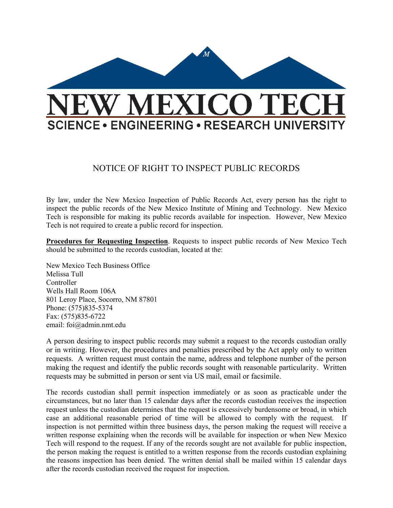

## NOTICE OF RIGHT TO INSPECT PUBLIC RECORDS

By law, under the New Mexico Inspection of Public Records Act, every person has the right to inspect the public records of the New Mexico Institute of Mining and Technology. New Mexico Tech is responsible for making its public records available for inspection. However, New Mexico Tech is not required to create a public record for inspection.

**Procedures for Requesting Inspection**. Requests to inspect public records of New Mexico Tech should be submitted to the records custodian, located at the:

New Mexico Tech Business Office Melissa Tull Controller Wells Hall Room 106A 801 Leroy Place, Socorro, NM 87801 Phone: (575)835-5374 Fax: (575)835-6722 email: foi@admin.nmt.edu

A person desiring to inspect public records may submit a request to the records custodian orally or in writing. However, the procedures and penalties prescribed by the Act apply only to written requests. A written request must contain the name, address and telephone number of the person making the request and identify the public records sought with reasonable particularity. Written requests may be submitted in person or sent via US mail, email or facsimile.

The records custodian shall permit inspection immediately or as soon as practicable under the circumstances, but no later than 15 calendar days after the records custodian receives the inspection request unless the custodian determines that the request is excessively burdensome or broad, in which case an additional reasonable period of time will be allowed to comply with the request. If inspection is not permitted within three business days, the person making the request will receive a written response explaining when the records will be available for inspection or when New Mexico Tech will respond to the request. If any of the records sought are not available for public inspection, the person making the request is entitled to a written response from the records custodian explaining the reasons inspection has been denied. The written denial shall be mailed within 15 calendar days after the records custodian received the request for inspection.